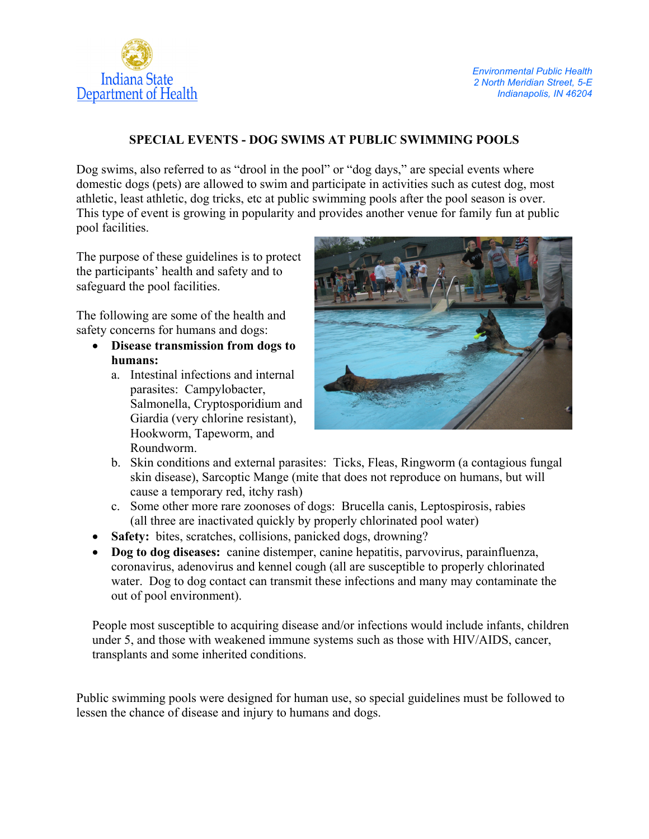

# **SPECIAL EVENTS - DOG SWIMS AT PUBLIC SWIMMING POOLS**

Dog swims, also referred to as "drool in the pool" or "dog days," are special events where domestic dogs (pets) are allowed to swim and participate in activities such as cutest dog, most athletic, least athletic, dog tricks, etc at public swimming pools after the pool season is over. This type of event is growing in popularity and provides another venue for family fun at public pool facilities.

The purpose of these guidelines is to protect the participants' health and safety and to safeguard the pool facilities.

The following are some of the health and safety concerns for humans and dogs:

- **Disease transmission from dogs to humans:** 
	- a. Intestinal infections and internal parasites: Campylobacter, Salmonella, Cryptosporidium and Giardia (very chlorine resistant), Hookworm, Tapeworm, and Roundworm.



- b. Skin conditions and external parasites: Ticks, Fleas, Ringworm (a contagious fungal skin disease), Sarcoptic Mange (mite that does not reproduce on humans, but will cause a temporary red, itchy rash)
- c. Some other more rare zoonoses of dogs: Brucella canis, Leptospirosis, rabies (all three are inactivated quickly by properly chlorinated pool water)
- **Safety:** bites, scratches, collisions, panicked dogs, drowning?
- **Dog to dog diseases:** canine distemper, canine hepatitis, parvovirus, parainfluenza, coronavirus, adenovirus and kennel cough (all are susceptible to properly chlorinated water. Dog to dog contact can transmit these infections and many may contaminate the out of pool environment).

People most susceptible to acquiring disease and/or infections would include infants, children under 5, and those with weakened immune systems such as those with HIV/AIDS, cancer, transplants and some inherited conditions.

Public swimming pools were designed for human use, so special guidelines must be followed to lessen the chance of disease and injury to humans and dogs.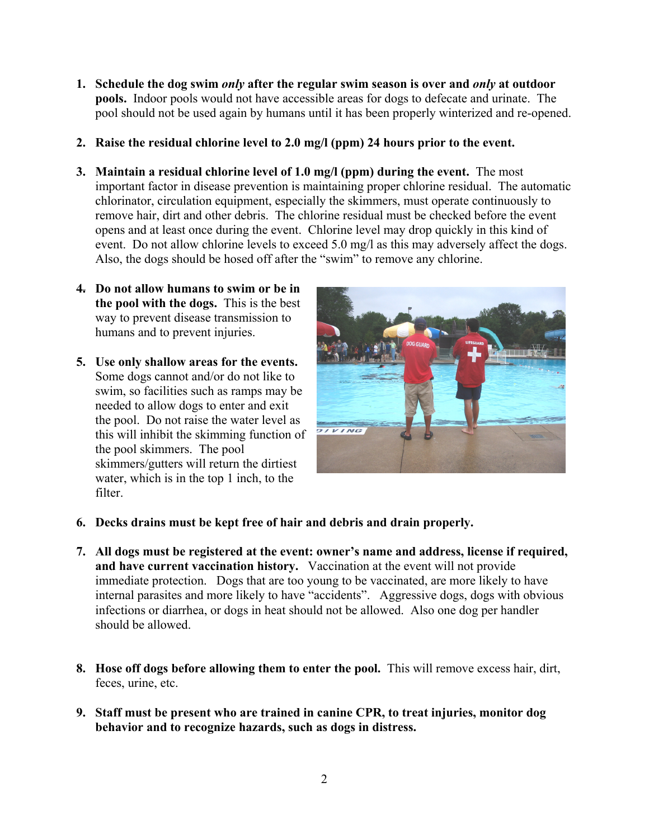- **1. Schedule the dog swim** *only* **after the regular swim season is over and** *only* **at outdoor pools.** Indoor pools would not have accessible areas for dogs to defecate and urinate. The pool should not be used again by humans until it has been properly winterized and re-opened.
- **2. Raise the residual chlorine level to 2.0 mg/l (ppm) 24 hours prior to the event.**
- **3. Maintain a residual chlorine level of 1.0 mg/l (ppm) during the event.** The most important factor in disease prevention is maintaining proper chlorine residual. The automatic chlorinator, circulation equipment, especially the skimmers, must operate continuously to remove hair, dirt and other debris. The chlorine residual must be checked before the event opens and at least once during the event. Chlorine level may drop quickly in this kind of event. Do not allow chlorine levels to exceed 5.0 mg/l as this may adversely affect the dogs. Also, the dogs should be hosed off after the "swim" to remove any chlorine.
- **4. Do not allow humans to swim or be in the pool with the dogs.** This is the best way to prevent disease transmission to humans and to prevent injuries.
- **5. Use only shallow areas for the events.**  Some dogs cannot and/or do not like to swim, so facilities such as ramps may be needed to allow dogs to enter and exit the pool. Do not raise the water level as this will inhibit the skimming function of the pool skimmers. The pool skimmers/gutters will return the dirtiest water, which is in the top 1 inch, to the filter.



- **6. Decks drains must be kept free of hair and debris and drain properly.**
- **7. All dogs must be registered at the event: owner's name and address, license if required, and have current vaccination history.** Vaccination at the event will not provide immediate protection. Dogs that are too young to be vaccinated, are more likely to have internal parasites and more likely to have "accidents". Aggressive dogs, dogs with obvious infections or diarrhea, or dogs in heat should not be allowed. Also one dog per handler should be allowed.
- **8. Hose off dogs before allowing them to enter the pool.** This will remove excess hair, dirt, feces, urine, etc.
- **9. Staff must be present who are trained in canine CPR, to treat injuries, monitor dog behavior and to recognize hazards, such as dogs in distress.**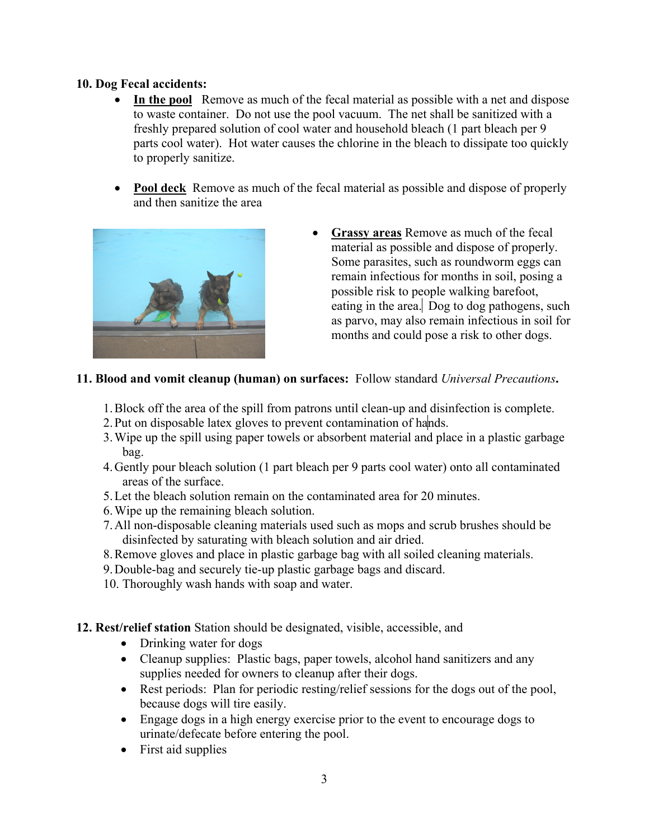## **10. Dog Fecal accidents:**

- **In the pool** Remove as much of the fecal material as possible with a net and dispose to waste container. Do not use the pool vacuum. The net shall be sanitized with a freshly prepared solution of cool water and household bleach (1 part bleach per 9 parts cool water). Hot water causes the chlorine in the bleach to dissipate too quickly to properly sanitize.
- **Pool deck** Remove as much of the fecal material as possible and dispose of properly and then sanitize the area



• **Grassy areas** Remove as much of the fecal material as possible and dispose of properly. Some parasites, such as roundworm eggs can remain infectious for months in soil, posing a possible risk to people walking barefoot, eating in the area. Dog to dog pathogens, such as parvo, may also remain infectious in soil for months and could pose a risk to other dogs.

## **11. Blood and vomit cleanup (human) on surfaces:** Follow standard *Universal Precautions***.**

- 1.Block off the area of the spill from patrons until clean-up and disinfection is complete.
- 2. Put on disposable latex gloves to prevent contamination of hands.
- 3.Wipe up the spill using paper towels or absorbent material and place in a plastic garbage bag.
- 4.Gently pour bleach solution (1 part bleach per 9 parts cool water) onto all contaminated areas of the surface.
- 5.Let the bleach solution remain on the contaminated area for 20 minutes.
- 6.Wipe up the remaining bleach solution.
- 7.All non-disposable cleaning materials used such as mops and scrub brushes should be disinfected by saturating with bleach solution and air dried.
- 8.Remove gloves and place in plastic garbage bag with all soiled cleaning materials.
- 9.Double-bag and securely tie-up plastic garbage bags and discard.
- 10. Thoroughly wash hands with soap and water.

# **12. Rest/relief station** Station should be designated, visible, accessible, and

- Drinking water for dogs
- Cleanup supplies: Plastic bags, paper towels, alcohol hand sanitizers and any supplies needed for owners to cleanup after their dogs.
- Rest periods: Plan for periodic resting/relief sessions for the dogs out of the pool, because dogs will tire easily.
- Engage dogs in a high energy exercise prior to the event to encourage dogs to urinate/defecate before entering the pool.
- First aid supplies